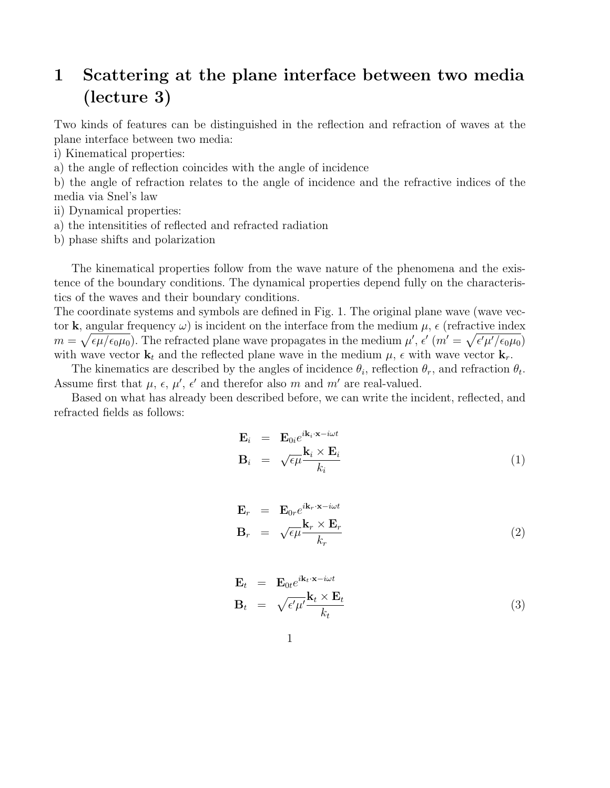## 1 Scattering at the plane interface between two media (lecture 3)

Two kinds of features can be distinguished in the reflection and refraction of waves at the plane interface between two media:

i) Kinematical properties:

a) the angle of reflection coincides with the angle of incidence

b) the angle of refraction relates to the angle of incidence and the refractive indices of the media via Snel's law

ii) Dynamical properties:

- a) the intensitities of reflected and refracted radiation
- b) phase shifts and polarization

The kinematical properties follow from the wave nature of the phenomena and the existence of the boundary conditions. The dynamical properties depend fully on the characteristics of the waves and their boundary conditions.

The coordinate systems and symbols are defined in Fig. 1. The original plane wave (wave vector k, angular frequency  $\omega$ ) is incident on the interface from the medium  $\mu$ ,  $\epsilon$  (refractive index  $m = \sqrt{\epsilon \mu/\epsilon_0 \mu_0}$ . The refracted plane wave propagates in the medium  $\mu'$ ,  $\epsilon'$   $(m' = \sqrt{\epsilon' \mu'/\epsilon_0 \mu_0})$ with wave vector  $\mathbf{k}_t$  and the reflected plane wave in the medium  $\mu$ ,  $\epsilon$  with wave vector  $\mathbf{k}_r$ .

The kinematics are described by the angles of incidence  $\theta_i$ , reflection  $\theta_r$ , and refraction  $\theta_t$ . Assume first that  $\mu$ ,  $\epsilon$ ,  $\mu'$ ,  $\epsilon'$  and therefor also m and m' are real-valued.

Based on what has already been described before, we can write the incident, reflected, and refracted fields as follows:

$$
\mathbf{E}_{i} = \mathbf{E}_{0i} e^{i\mathbf{k}_{i} \cdot \mathbf{x} - i\omega t} \n\mathbf{B}_{i} = \sqrt{\epsilon \mu} \frac{\mathbf{k}_{i} \times \mathbf{E}_{i}}{k_{i}}
$$
\n(1)

$$
\mathbf{E}_r = \mathbf{E}_{0r} e^{i\mathbf{k}_r \cdot \mathbf{x} - i\omega t} \n\mathbf{B}_r = \sqrt{\epsilon \mu} \frac{\mathbf{k}_r \times \mathbf{E}_r}{k_r}
$$
\n(2)

$$
\mathbf{E}_{t} = \mathbf{E}_{0t} e^{i\mathbf{k}_{t} \cdot \mathbf{x} - i\omega t} \n\mathbf{B}_{t} = \sqrt{\epsilon' \mu'} \frac{\mathbf{k}_{t} \times \mathbf{E}_{t}}{k_{t}}
$$
\n(3)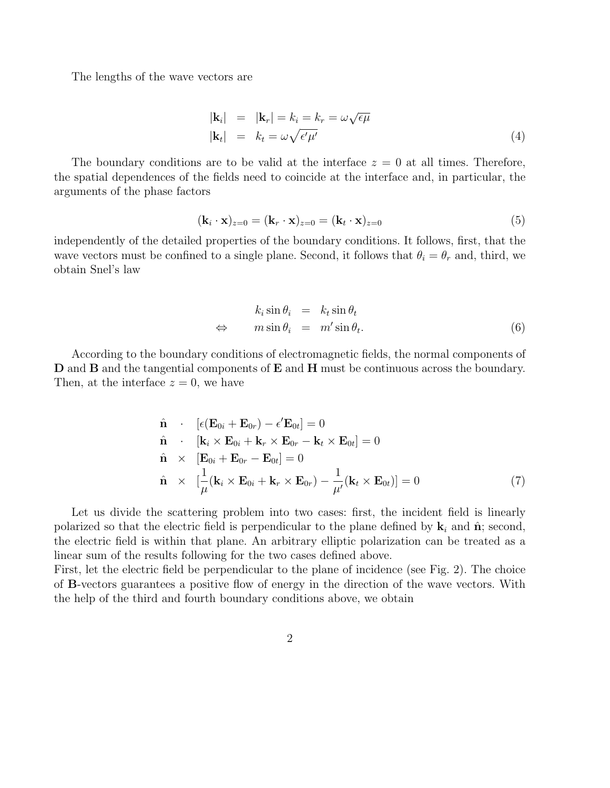The lengths of the wave vectors are

$$
|\mathbf{k}_i| = |\mathbf{k}_r| = k_i = k_r = \omega \sqrt{\epsilon \mu}
$$
  
\n
$$
|\mathbf{k}_t| = k_t = \omega \sqrt{\epsilon' \mu'}
$$
 (4)

The boundary conditions are to be valid at the interface  $z = 0$  at all times. Therefore, the spatial dependences of the fields need to coincide at the interface and, in particular, the arguments of the phase factors

$$
(\mathbf{k}_i \cdot \mathbf{x})_{z=0} = (\mathbf{k}_r \cdot \mathbf{x})_{z=0} = (\mathbf{k}_t \cdot \mathbf{x})_{z=0}
$$
\n(5)

independently of the detailed properties of the boundary conditions. It follows, first, that the wave vectors must be confined to a single plane. Second, it follows that  $\theta_i = \theta_r$  and, third, we obtain Snel's law

$$
\begin{array}{rcl}\n k_i \sin \theta_i & = & k_t \sin \theta_t \\
\Leftrightarrow & m \sin \theta_i & = & m' \sin \theta_t.\n \end{array} \tag{6}
$$

According to the boundary conditions of electromagnetic fields, the normal components of D and B and the tangential components of E and H must be continuous across the boundary. Then, at the interface  $z = 0$ , we have

$$
\hat{\mathbf{n}} \cdot [\epsilon(\mathbf{E}_{0i} + \mathbf{E}_{0r}) - \epsilon' \mathbf{E}_{0t}] = 0
$$
\n
$$
\hat{\mathbf{n}} \cdot [\mathbf{k}_i \times \mathbf{E}_{0i} + \mathbf{k}_r \times \mathbf{E}_{0r} - \mathbf{k}_t \times \mathbf{E}_{0t}] = 0
$$
\n
$$
\hat{\mathbf{n}} \times [\mathbf{E}_{0i} + \mathbf{E}_{0r} - \mathbf{E}_{0t}] = 0
$$
\n
$$
\hat{\mathbf{n}} \times [\frac{1}{\mu}(\mathbf{k}_i \times \mathbf{E}_{0i} + \mathbf{k}_r \times \mathbf{E}_{0r}) - \frac{1}{\mu'}(\mathbf{k}_t \times \mathbf{E}_{0t})] = 0
$$
\n(7)

Let us divide the scattering problem into two cases: first, the incident field is linearly polarized so that the electric field is perpendicular to the plane defined by  $\mathbf{k}_i$  and  $\hat{\mathbf{n}}$ ; second, the electric field is within that plane. An arbitrary elliptic polarization can be treated as a linear sum of the results following for the two cases defined above.

First, let the electric field be perpendicular to the plane of incidence (see Fig. 2). The choice of B-vectors guarantees a positive flow of energy in the direction of the wave vectors. With the help of the third and fourth boundary conditions above, we obtain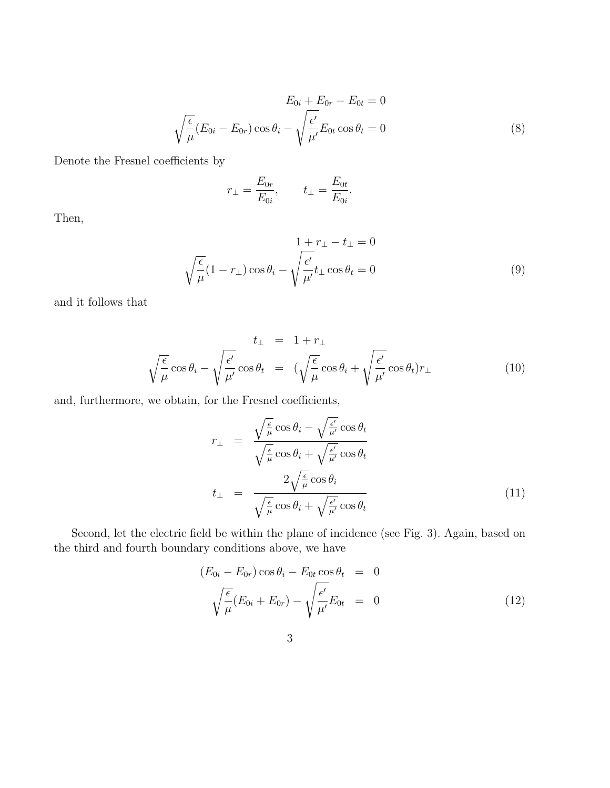$$
E_{0i} + E_{0r} - E_{0t} = 0
$$
  

$$
\sqrt{\frac{\epsilon}{\mu}} (E_{0i} - E_{0r}) \cos \theta_i - \sqrt{\frac{\epsilon'}{\mu'}} E_{0t} \cos \theta_t = 0
$$
 (8)

Denote the Fresnel coefficients by

$$
r_{\perp} = \frac{E_{0r}}{E_{0i}}, \qquad t_{\perp} = \frac{E_{0t}}{E_{0i}}.
$$

Then,

$$
1 + r_{\perp} - t_{\perp} = 0
$$
  

$$
\sqrt{\frac{\epsilon}{\mu}} (1 - r_{\perp}) \cos \theta_i - \sqrt{\frac{\epsilon'}{\mu'}} t_{\perp} \cos \theta_t = 0
$$
 (9)

and it follows that

$$
t_{\perp} = 1 + r_{\perp}
$$

$$
\sqrt{\frac{\epsilon}{\mu}} \cos \theta_i - \sqrt{\frac{\epsilon'}{\mu'}} \cos \theta_t = (\sqrt{\frac{\epsilon}{\mu}} \cos \theta_i + \sqrt{\frac{\epsilon'}{\mu'}} \cos \theta_t) r_{\perp}
$$
(10)

and, furthermore, we obtain, for the Fresnel coefficients,

$$
r_{\perp} = \frac{\sqrt{\frac{\epsilon}{\mu}} \cos \theta_i - \sqrt{\frac{\epsilon'}{\mu'}} \cos \theta_t}{\sqrt{\frac{\epsilon}{\mu}} \cos \theta_i + \sqrt{\frac{\epsilon'}{\mu'}} \cos \theta_t}
$$
  

$$
t_{\perp} = \frac{2\sqrt{\frac{\epsilon}{\mu}} \cos \theta_i}{\sqrt{\frac{\epsilon}{\mu}} \cos \theta_i + \sqrt{\frac{\epsilon'}{\mu'}} \cos \theta_t}
$$
(11)

Second, let the electric field be within the plane of incidence (see Fig. 3). Again, based on the third and fourth boundary conditions above, we have

$$
(E_{0i} - E_{0r})\cos\theta_i - E_{0t}\cos\theta_t = 0
$$
  

$$
\sqrt{\frac{\epsilon}{\mu}}(E_{0i} + E_{0r}) - \sqrt{\frac{\epsilon'}{\mu'}}E_{0t} = 0
$$
 (12)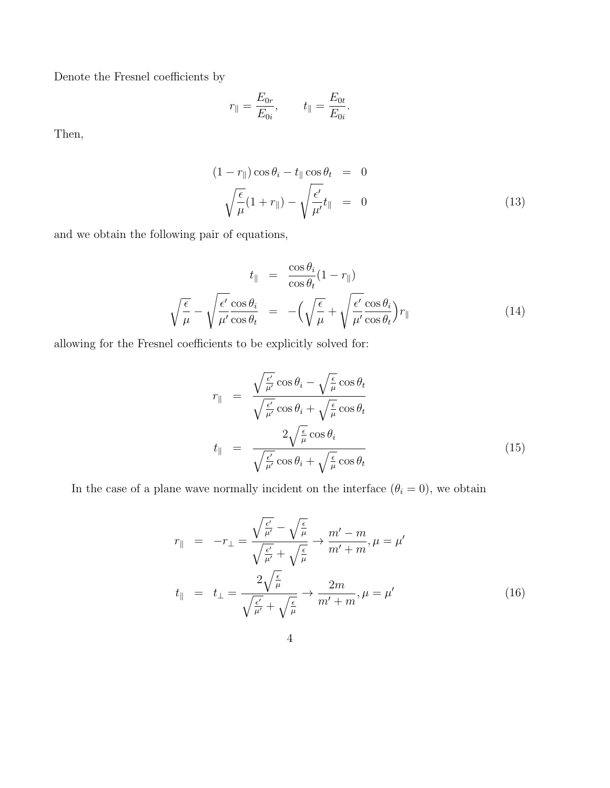Denote the Fresnel coefficients by

$$
r_{\parallel} = \frac{E_{0r}}{E_{0i}}, \qquad t_{\parallel} = \frac{E_{0t}}{E_{0i}}.
$$

Then,

$$
(1 - r_{\parallel}) \cos \theta_i - t_{\parallel} \cos \theta_t = 0
$$
  

$$
\sqrt{\frac{\epsilon}{\mu}} (1 + r_{\parallel}) - \sqrt{\frac{\epsilon'}{\mu'}} t_{\parallel} = 0
$$
 (13)

and we obtain the following pair of equations,

$$
t_{\parallel} = \frac{\cos \theta_i}{\cos \theta_t} (1 - r_{\parallel})
$$

$$
\sqrt{\frac{\epsilon}{\mu}} - \sqrt{\frac{\epsilon'}{\mu'} \frac{\cos \theta_i}{\cos \theta_t}} = -\left(\sqrt{\frac{\epsilon}{\mu}} + \sqrt{\frac{\epsilon'}{\mu'} \frac{\cos \theta_i}{\cos \theta_t}}\right) r_{\parallel}
$$
(14)

allowing for the Fresnel coefficients to be explicitly solved for:

$$
r_{\parallel} = \frac{\sqrt{\frac{\epsilon'}{\mu'}} \cos \theta_i - \sqrt{\frac{\epsilon}{\mu}} \cos \theta_t}{\sqrt{\frac{\epsilon'}{\mu'}} \cos \theta_i + \sqrt{\frac{\epsilon}{\mu}} \cos \theta_t}
$$
  

$$
t_{\parallel} = \frac{2\sqrt{\frac{\epsilon}{\mu}} \cos \theta_i}{\sqrt{\frac{\epsilon'}{\mu'}} \cos \theta_i + \sqrt{\frac{\epsilon}{\mu}} \cos \theta_t}
$$
(15)

In the case of a plane wave normally incident on the interface  $(\theta_i = 0)$ , we obtain

$$
r_{\parallel} = -r_{\perp} = \frac{\sqrt{\frac{\epsilon'}{\mu'}} - \sqrt{\frac{\epsilon}{\mu}}}{\sqrt{\frac{\epsilon'}{\mu'}} + \sqrt{\frac{\epsilon}{\mu}}} \to \frac{m' - m}{m' + m}, \mu = \mu'
$$
  

$$
t_{\parallel} = t_{\perp} = \frac{2\sqrt{\frac{\epsilon}{\mu}}}{\sqrt{\frac{\epsilon'}{\mu'} + \sqrt{\frac{\epsilon}{\mu}}} \to \frac{2m}{m' + m}, \mu = \mu'
$$
(16)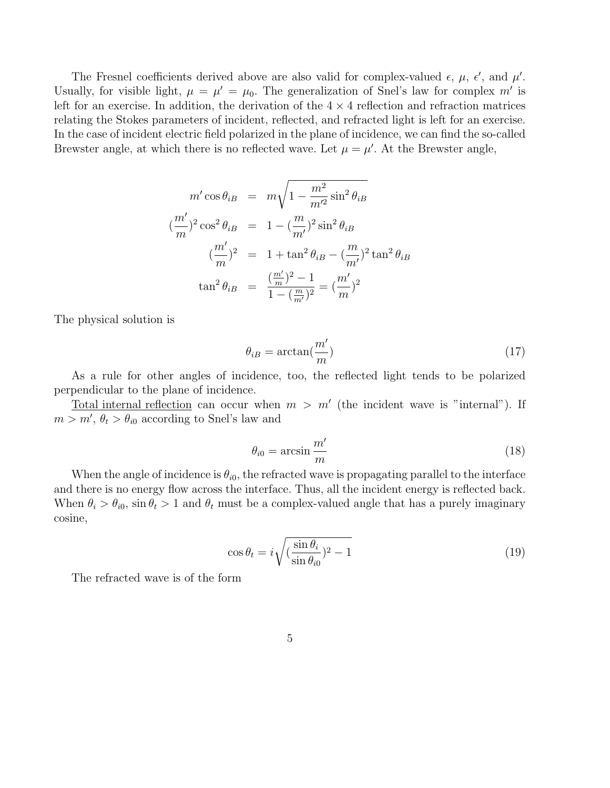The Fresnel coefficients derived above are also valid for complex-valued  $\epsilon$ ,  $\mu$ ,  $\epsilon'$ , and  $\mu'$ . Usually, for visible light,  $\mu = \mu' = \mu_0$ . The generalization of Snel's law for complex m' is left for an exercise. In addition, the derivation of the  $4 \times 4$  reflection and refraction matrices relating the Stokes parameters of incident, reflected, and refracted light is left for an exercise. In the case of incident electric field polarized in the plane of incidence, we can find the so-called Brewster angle, at which there is no reflected wave. Let  $\mu = \mu'$ . At the Brewster angle,

$$
m' \cos \theta_{iB} = m \sqrt{1 - \frac{m^2}{m'^2} \sin^2 \theta_{iB}}
$$
  

$$
(\frac{m'}{m})^2 \cos^2 \theta_{iB} = 1 - (\frac{m}{m'})^2 \sin^2 \theta_{iB}
$$
  

$$
(\frac{m'}{m})^2 = 1 + \tan^2 \theta_{iB} - (\frac{m}{m'})^2 \tan^2 \theta_{iB}
$$
  

$$
\tan^2 \theta_{iB} = \frac{(\frac{m'}{m})^2 - 1}{1 - (\frac{m}{m'})^2} = (\frac{m'}{m})^2
$$

The physical solution is

$$
\theta_{iB} = \arctan(\frac{m'}{m})\tag{17}
$$

As a rule for other angles of incidence, too, the reflected light tends to be polarized perpendicular to the plane of incidence.

Total internal reflection can occur when  $m > m'$  (the incident wave is "internal"). If  $m > m'$ ,  $\theta_t > \theta_{i0}$  according to Snel's law and

$$
\theta_{i0} = \arcsin \frac{m'}{m} \tag{18}
$$

When the angle of incidence is  $\theta_{i0}$ , the refracted wave is propagating parallel to the interface and there is no energy flow across the interface. Thus, all the incident energy is reflected back. When  $\theta_i > \theta_{i0}$ , sin  $\theta_t > 1$  and  $\theta_t$  must be a complex-valued angle that has a purely imaginary cosine,

$$
\cos \theta_t = i \sqrt{\left(\frac{\sin \theta_i}{\sin \theta_{i0}}\right)^2 - 1} \tag{19}
$$

The refracted wave is of the form